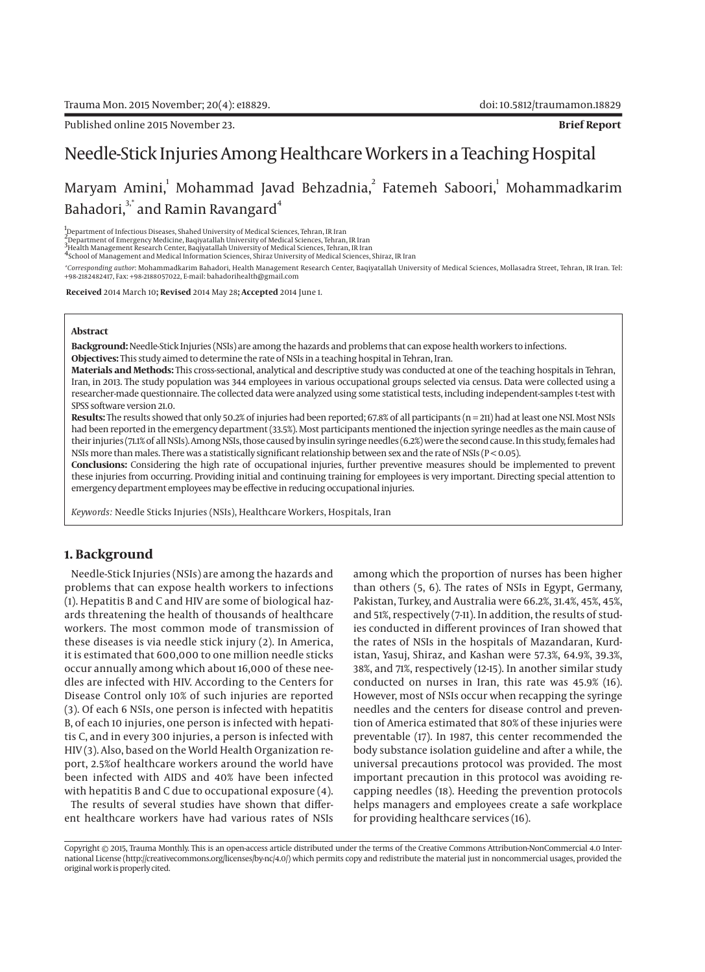# Needle-Stick Injuries Among Healthcare Workers in a Teaching Hospital

# Maryam Amini, Mohammad Javad Behzadnia, $^2$  Fatemeh Saboori, $^1$  Mohammadkarim Bahadori,<sup>3,\*</sup> and Ramin Ravangard<sup>4</sup>

1 Department of Infectious Diseases, Shahed University of Medical Sciences, Tehran, IR Iran

,<br><sup>2</sup>Department of Emergency Medicine, Baqiyatallah University of Medical Sciences, Tehran, IR Iran<br><sup>3</sup>Health Management Research Center, Baqiyatallah University of Medical Sciences, Tehran, IR Iran<br><sup>4</sup>School of Management

*\*Corresponding author*: Mohammadkarim Bahadori, Health Management Research Center, Baqiyatallah University of Medical Sciences, Mollasadra Street, Tehran, IR Iran. Tel: +98-2182482417, Fax: +98-2188057022, E-mail: bahadorihealth@gmail.com

 **Received** 2014 March 10**; Revised** 2014 May 28**; Accepted** 2014 June 1.

#### **Abstract**

**Background:** Needle-Stick Injuries (NSIs) are among the hazards and problems that can expose health workers to infections. **Objectives:** This study aimed to determine the rate of NSIs in a teaching hospital in Tehran, Iran.

**Materials and Methods:** This cross-sectional, analytical and descriptive study was conducted at one of the teaching hospitals in Tehran, Iran, in 2013. The study population was 344 employees in various occupational groups selected via census. Data were collected using a researcher-made questionnaire. The collected data were analyzed using some statistical tests, including independent-samples t-test with SPSS software version 21.0.

Results: The results showed that only 50.2% of injuries had been reported; 67.8% of all participants (n = 211) had at least one NSI. Most NSIs had been reported in the emergency department (33.5%). Most participants mentioned the injection syringe needles as the main cause of their injuries (71.1% of all NSIs). Among NSIs, those caused by insulin syringe needles (6.2%) were the second cause. In this study, females had NSIs more than males. There was a statistically significant relationship between sex and the rate of NSIs ( $P < 0.05$ ).

**Conclusions:** Considering the high rate of occupational injuries, further preventive measures should be implemented to prevent these injuries from occurring. Providing initial and continuing training for employees is very important. Directing special attention to emergency department employees may be effective in reducing occupational injuries.

*Keywords:* Needle Sticks Injuries (NSIs), Healthcare Workers, Hospitals, Iran

# **1. Background**

Needle-Stick Injuries (NSIs) are among the hazards and problems that can expose health workers to infections (1). Hepatitis B and C and HIV are some of biological hazards threatening the health of thousands of healthcare workers. The most common mode of transmission of these diseases is via needle stick injury (2). In America, it is estimated that 600,000 to one million needle sticks occur annually among which about 16,000 of these needles are infected with HIV. According to the Centers for Disease Control only 10% of such injuries are reported (3). Of each 6 NSIs, one person is infected with hepatitis B, of each 10 injuries, one person is infected with hepatitis C, and in every 300 injuries, a person is infected with HIV (3). Also, based on the World Health Organization report, 2.5%of healthcare workers around the world have been infected with AIDS and 40% have been infected with hepatitis B and C due to occupational exposure (4).

The results of several studies have shown that different healthcare workers have had various rates of NSIs among which the proportion of nurses has been higher than others (5, 6). The rates of NSIs in Egypt, Germany, Pakistan, Turkey, and Australia were 66.2%, 31.4%, 45%, 45%, and 51%, respectively (7-11). In addition, the results of studies conducted in different provinces of Iran showed that the rates of NSIs in the hospitals of Mazandaran, Kurdistan, Yasuj, Shiraz, and Kashan were 57.3%, 64.9%, 39.3%, 38%, and 71%, respectively (12-15). In another similar study conducted on nurses in Iran, this rate was 45.9% (16). However, most of NSIs occur when recapping the syringe needles and the centers for disease control and prevention of America estimated that 80% of these injuries were preventable (17). In 1987, this center recommended the body substance isolation guideline and after a while, the universal precautions protocol was provided. The most important precaution in this protocol was avoiding recapping needles (18). Heeding the prevention protocols helps managers and employees create a safe workplace for providing healthcare services (16).

Copyright © 2015, Trauma Monthly. This is an open-access article distributed under the terms of the Creative Commons Attribution-NonCommercial 4.0 International License (http://creativecommons.org/licenses/by-nc/4.0/) which permits copy and redistribute the material just in noncommercial usages, provided the original work is properly cited.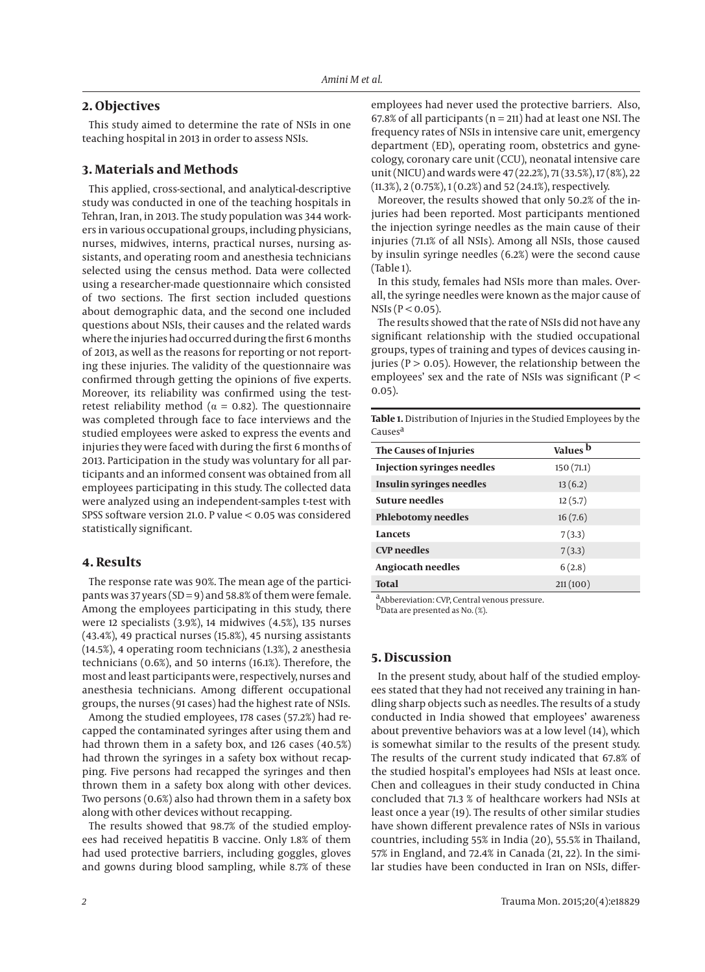# **2. Objectives**

This study aimed to determine the rate of NSIs in one teaching hospital in 2013 in order to assess NSIs.

# **3. Materials and Methods**

This applied, cross-sectional, and analytical-descriptive study was conducted in one of the teaching hospitals in Tehran, Iran, in 2013. The study population was 344 workers in various occupational groups, including physicians, nurses, midwives, interns, practical nurses, nursing assistants, and operating room and anesthesia technicians selected using the census method. Data were collected using a researcher-made questionnaire which consisted of two sections. The first section included questions about demographic data, and the second one included questions about NSIs, their causes and the related wards where the injuries had occurred during the first 6 months of 2013, as well as the reasons for reporting or not reporting these injuries. The validity of the questionnaire was confirmed through getting the opinions of five experts. Moreover, its reliability was confirmed using the testretest reliability method ( $\alpha$  = 0.82). The questionnaire was completed through face to face interviews and the studied employees were asked to express the events and injuries they were faced with during the first 6 months of 2013. Participation in the study was voluntary for all participants and an informed consent was obtained from all employees participating in this study. The collected data were analyzed using an independent-samples t-test with SPSS software version 21.0. P value < 0.05 was considered statistically significant.

## **4. Results**

The response rate was 90%. The mean age of the participants was 37 years ( $SD = 9$ ) and 58.8% of them were female. Among the employees participating in this study, there were 12 specialists (3.9%), 14 midwives (4.5%), 135 nurses (43.4%), 49 practical nurses (15.8%), 45 nursing assistants (14.5%), 4 operating room technicians (1.3%), 2 anesthesia technicians (0.6%), and 50 interns (16.1%). Therefore, the most and least participants were, respectively, nurses and anesthesia technicians. Among different occupational groups, the nurses (91 cases) had the highest rate of NSIs.

Among the studied employees, 178 cases (57.2%) had recapped the contaminated syringes after using them and had thrown them in a safety box, and 126 cases (40.5%) had thrown the syringes in a safety box without recapping. Five persons had recapped the syringes and then thrown them in a safety box along with other devices. Two persons (0.6%) also had thrown them in a safety box along with other devices without recapping.

The results showed that 98.7% of the studied employees had received hepatitis B vaccine. Only 1.8% of them had used protective barriers, including goggles, gloves and gowns during blood sampling, while 8.7% of these employees had never used the protective barriers. Also, 67.8% of all participants ( $n = 211$ ) had at least one NSI. The frequency rates of NSIs in intensive care unit, emergency department (ED), operating room, obstetrics and gynecology, coronary care unit (CCU), neonatal intensive care unit (NICU) and wards were 47 (22.2%), 71 (33.5%), 17 (8%), 22 (11.3%), 2 (0.75%), 1 (0.2%) and 52 (24.1%), respectively.

Moreover, the results showed that only 50.2% of the injuries had been reported. Most participants mentioned the injection syringe needles as the main cause of their injuries (71.1% of all NSIs). Among all NSIs, those caused by insulin syringe needles (6.2%) were the second cause (Table 1).

In this study, females had NSIs more than males. Overall, the syringe needles were known as the major cause of  $NSIs (P < 0.05)$ .

The results showed that the rate of NSIs did not have any significant relationship with the studied occupational groups, types of training and types of devices causing injuries ( $P > 0.05$ ). However, the relationship between the employees' sex and the rate of NSIs was significant (P < 0.05).

**Table 1.** Distribution of Injuries in the Studied Employees by the Causes<sup>a</sup>

| The Causes of Injuries            | Values <sup>b</sup> |
|-----------------------------------|---------------------|
| <b>Injection syringes needles</b> | 150(71.1)           |
| <b>Insulin syringes needles</b>   | 13(6.2)             |
| <b>Suture needles</b>             | 12(5.7)             |
| <b>Phlebotomy needles</b>         | 16(7.6)             |
| Lancets                           | 7(3.3)              |
| <b>CVP</b> needles                | 7(3.3)              |
| Angiocath needles                 | 6(2.8)              |
| <b>Total</b>                      | 211(100)            |

aAbbereviation: CVP, Central venous pressure.

b<sub>Data</sub> are presented as No. (%).

# **5. Discussion**

In the present study, about half of the studied employees stated that they had not received any training in handling sharp objects such as needles. The results of a study conducted in India showed that employees' awareness about preventive behaviors was at a low level (14), which is somewhat similar to the results of the present study. The results of the current study indicated that 67.8% of the studied hospital's employees had NSIs at least once. Chen and colleagues in their study conducted in China concluded that 71.3 % of healthcare workers had NSIs at least once a year (19). The results of other similar studies have shown different prevalence rates of NSIs in various countries, including 55% in India (20), 55.5% in Thailand, 57% in England, and 72.4% in Canada (21, 22). In the similar studies have been conducted in Iran on NSIs, differ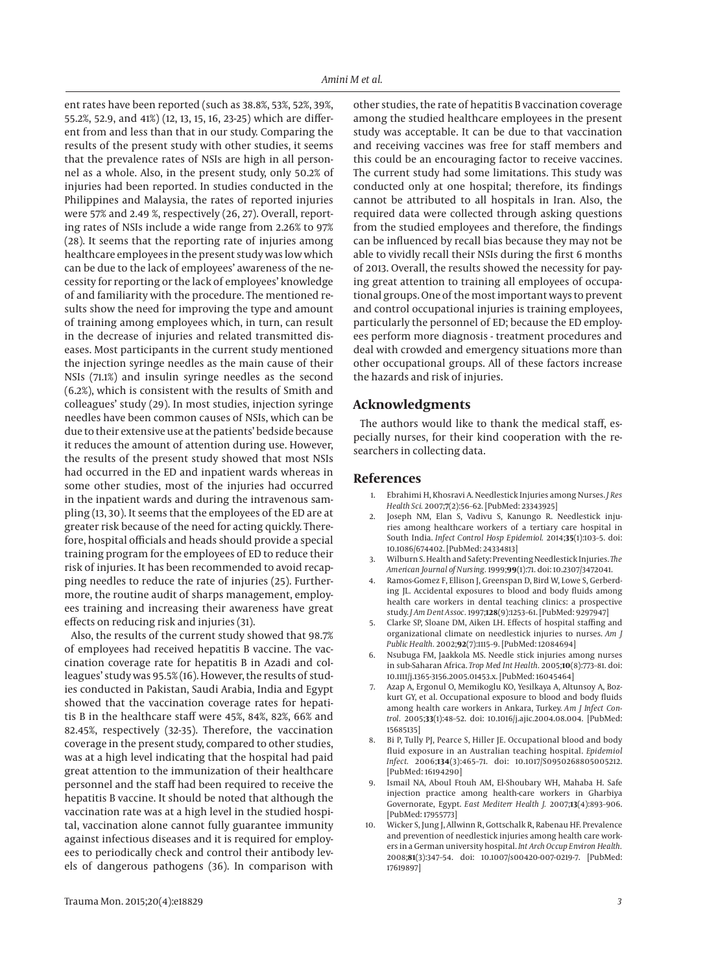ent rates have been reported (such as 38.8%, 53%, 52%, 39%, 55.2%, 52.9, and 41%) (12, 13, 15, 16, 23-25) which are different from and less than that in our study. Comparing the results of the present study with other studies, it seems that the prevalence rates of NSIs are high in all personnel as a whole. Also, in the present study, only 50.2% of injuries had been reported. In studies conducted in the Philippines and Malaysia, the rates of reported injuries were 57% and 2.49 %, respectively (26, 27). Overall, reporting rates of NSIs include a wide range from 2.26% to 97% (28). It seems that the reporting rate of injuries among healthcare employees in the present study was low which can be due to the lack of employees' awareness of the necessity for reporting or the lack of employees' knowledge of and familiarity with the procedure. The mentioned results show the need for improving the type and amount of training among employees which, in turn, can result in the decrease of injuries and related transmitted diseases. Most participants in the current study mentioned the injection syringe needles as the main cause of their NSIs (71.1%) and insulin syringe needles as the second (6.2%), which is consistent with the results of Smith and colleagues' study (29). In most studies, injection syringe needles have been common causes of NSIs, which can be due to their extensive use at the patients' bedside because it reduces the amount of attention during use. However, the results of the present study showed that most NSIs had occurred in the ED and inpatient wards whereas in some other studies, most of the injuries had occurred in the inpatient wards and during the intravenous sampling (13, 30). It seems that the employees of the ED are at greater risk because of the need for acting quickly. Therefore, hospital officials and heads should provide a special training program for the employees of ED to reduce their risk of injuries. It has been recommended to avoid recapping needles to reduce the rate of injuries (25). Furthermore, the routine audit of sharps management, employees training and increasing their awareness have great effects on reducing risk and injuries (31).

Also, the results of the current study showed that 98.7% of employees had received hepatitis B vaccine. The vaccination coverage rate for hepatitis B in Azadi and colleagues' study was 95.5% (16). However, the results of studies conducted in Pakistan, Saudi Arabia, India and Egypt showed that the vaccination coverage rates for hepatitis B in the healthcare staff were 45%, 84%, 82%, 66% and 82.45%, respectively (32-35). Therefore, the vaccination coverage in the present study, compared to other studies, was at a high level indicating that the hospital had paid great attention to the immunization of their healthcare personnel and the staff had been required to receive the hepatitis B vaccine. It should be noted that although the vaccination rate was at a high level in the studied hospital, vaccination alone cannot fully guarantee immunity against infectious diseases and it is required for employees to periodically check and control their antibody levels of dangerous pathogens (36). In comparison with

other studies, the rate of hepatitis B vaccination coverage among the studied healthcare employees in the present study was acceptable. It can be due to that vaccination and receiving vaccines was free for staff members and this could be an encouraging factor to receive vaccines. The current study had some limitations. This study was conducted only at one hospital; therefore, its findings cannot be attributed to all hospitals in Iran. Also, the required data were collected through asking questions from the studied employees and therefore, the findings can be influenced by recall bias because they may not be able to vividly recall their NSIs during the first 6 months of 2013. Overall, the results showed the necessity for paying great attention to training all employees of occupational groups. One of the most important ways to prevent and control occupational injuries is training employees, particularly the personnel of ED; because the ED employees perform more diagnosis - treatment procedures and deal with crowded and emergency situations more than other occupational groups. All of these factors increase the hazards and risk of injuries.

# **Acknowledgments**

The authors would like to thank the medical staff, especially nurses, for their kind cooperation with the researchers in collecting data.

# **References**

- 1. Ebrahimi H, Khosravi A. Needlestick Injuries among Nurses. *J Res Health Sci.* 2007;**7**(2):56–62. [PubMed: 23343925]
- 2. Joseph NM, Elan S, Vadivu S, Kanungo R. Needlestick injuries among healthcare workers of a tertiary care hospital in South India. *Infect Control Hosp Epidemiol.* 2014;**35**(1):103–5. doi: 10.1086/674402. [PubMed: 24334813]
- 3. Wilburn S. Health and Safety: Preventing Needlestick Injuries. *The American Journal of Nursing.* 1999;**99**(1):71. doi: 10.2307/3472041.
- Ramos-Gomez F, Ellison J, Greenspan D, Bird W, Lowe S, Gerberding JL. Accidental exposures to blood and body fluids among health care workers in dental teaching clinics: a prospective study. *J Am Dent Assoc.* 1997;**128**(9):1253–61. [PubMed: 9297947]
- 5. Clarke SP, Sloane DM, Aiken LH. Effects of hospital staffing and organizational climate on needlestick injuries to nurses. *Am J Public Health.* 2002;**92**(7):1115–9. [PubMed: 12084694]
- 6. Nsubuga FM, Jaakkola MS. Needle stick injuries among nurses in sub-Saharan Africa. *Trop Med Int Health.* 2005;**10**(8):773–81. doi: 10.1111/j.1365-3156.2005.01453.x. [PubMed: 16045464]
- 7. Azap A, Ergonul O, Memikoglu KO, Yesilkaya A, Altunsoy A, Bozkurt GY, et al. Occupational exposure to blood and body fluids among health care workers in Ankara, Turkey. *Am J Infect Control.* 2005;**33**(1):48–52. doi: 10.1016/j.ajic.2004.08.004. [PubMed: 15685135]
- 8. Bi P, Tully PJ, Pearce S, Hiller JE. Occupational blood and body fluid exposure in an Australian teaching hospital. *Epidemiol Infect.* 2006;**134**(3):465–71. doi: 10.1017/S0950268805005212. [PubMed: 16194290]
- Ismail NA, Aboul Ftouh AM, El-Shoubary WH, Mahaba H. Safe injection practice among health-care workers in Gharbiya Governorate, Egypt. *East Mediterr Health J.* 2007;**13**(4):893–906. [PubMed: 17955773]
- 10. Wicker S, Jung J, Allwinn R, Gottschalk R, Rabenau HF. Prevalence and prevention of needlestick injuries among health care workers in a German university hospital. *Int Arch Occup Environ Health.* 2008;**81**(3):347–54. doi: 10.1007/s00420-007-0219-7. [PubMed: 17619897]